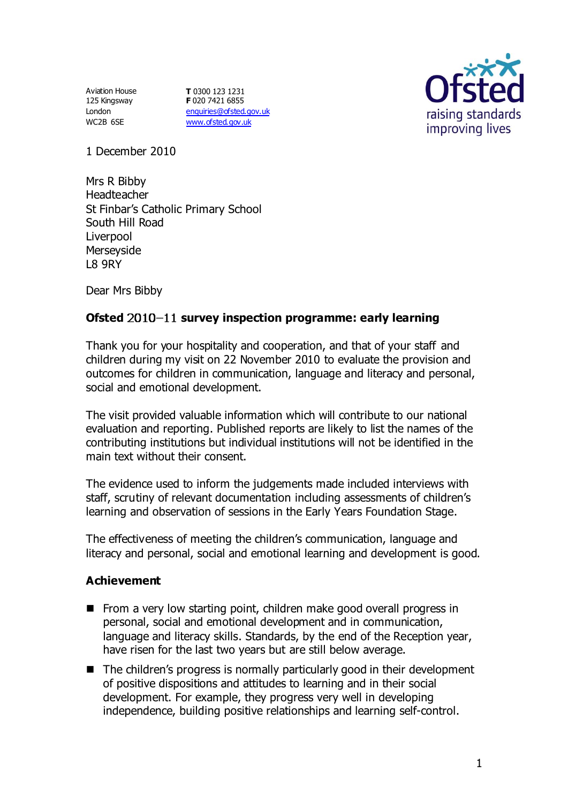Aviation House 125 Kingsway London WC2B 6SE

**T** 0300 123 1231 **F** 020 7421 6855 [enquiries@ofsted.gov.uk](mailto:enquiries@ofsted.gov.uk) [www.ofsted.gov.uk](http://www.ofsted.gov.uk/)



1 December 2010

Mrs R Bibby Headteacher St Finbar's Catholic Primary School South Hill Road Liverpool Merseyside L8 9RY

Dear Mrs Bibby

# Ofsted 2010-11 survey inspection programme: early learning

Thank you for your hospitality and cooperation, and that of your staff and children during my visit on 22 November 2010 to evaluate the provision and outcomes for children in communication, language and literacy and personal, social and emotional development.

The visit provided valuable information which will contribute to our national evaluation and reporting. Published reports are likely to list the names of the contributing institutions but individual institutions will not be identified in the main text without their consent.

The evidence used to inform the judgements made included interviews with staff, scrutiny of relevant documentation including assessments of children's learning and observation of sessions in the Early Years Foundation Stage.

The effectiveness of meeting the children's communication, language and literacy and personal, social and emotional learning and development is good.

## **Achievement**

- From a very low starting point, children make good overall progress in personal, social and emotional development and in communication, language and literacy skills. Standards, by the end of the Reception year, have risen for the last two years but are still below average.
- The children's progress is normally particularly good in their development of positive dispositions and attitudes to learning and in their social development. For example, they progress very well in developing independence, building positive relationships and learning self-control.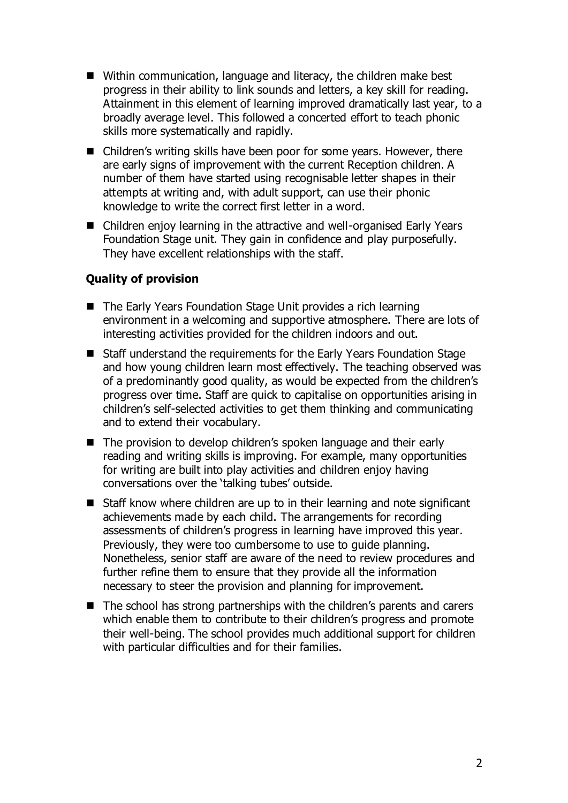- Within communication, language and literacy, the children make best progress in their ability to link sounds and letters, a key skill for reading. Attainment in this element of learning improved dramatically last year, to a broadly average level. This followed a concerted effort to teach phonic skills more systematically and rapidly.
- Children's writing skills have been poor for some years. However, there are early signs of improvement with the current Reception children. A number of them have started using recognisable letter shapes in their attempts at writing and, with adult support, can use their phonic knowledge to write the correct first letter in a word.
- Children enjoy learning in the attractive and well-organised Early Years Foundation Stage unit. They gain in confidence and play purposefully. They have excellent relationships with the staff.

## **Quality of provision**

- The Early Years Foundation Stage Unit provides a rich learning environment in a welcoming and supportive atmosphere. There are lots of interesting activities provided for the children indoors and out.
- Staff understand the requirements for the Early Years Foundation Stage and how young children learn most effectively. The teaching observed was of a predominantly good quality, as would be expected from the children's progress over time. Staff are quick to capitalise on opportunities arising in children's self-selected activities to get them thinking and communicating and to extend their vocabulary.
- The provision to develop children's spoken language and their early reading and writing skills is improving. For example, many opportunities for writing are built into play activities and children enjoy having conversations over the 'talking tubes' outside.
- Staff know where children are up to in their learning and note significant achievements made by each child. The arrangements for recording assessments of children's progress in learning have improved this year. Previously, they were too cumbersome to use to guide planning. Nonetheless, senior staff are aware of the need to review procedures and further refine them to ensure that they provide all the information necessary to steer the provision and planning for improvement.
- The school has strong partnerships with the children's parents and carers which enable them to contribute to their children's progress and promote their well-being. The school provides much additional support for children with particular difficulties and for their families.